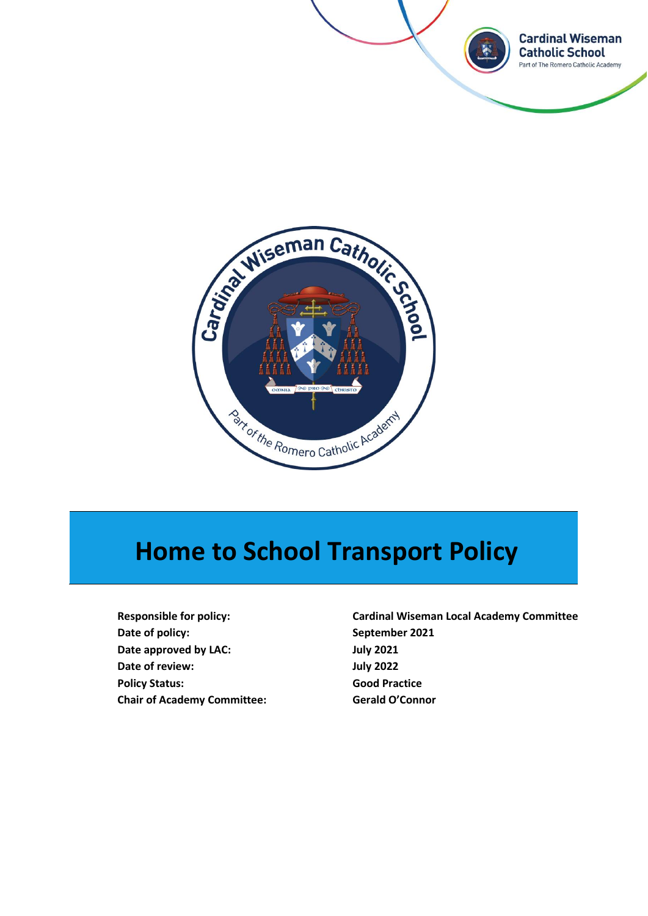



# **Home to School Transport Policy**

**Date of policy: September 2021 Date approved by LAC: July 2021 Date of review: July 2022 Policy Status: Good Practice Chair of Academy Committee: Gerald O'Connor**

**Responsible for policy: Cardinal Wiseman Local Academy Committee**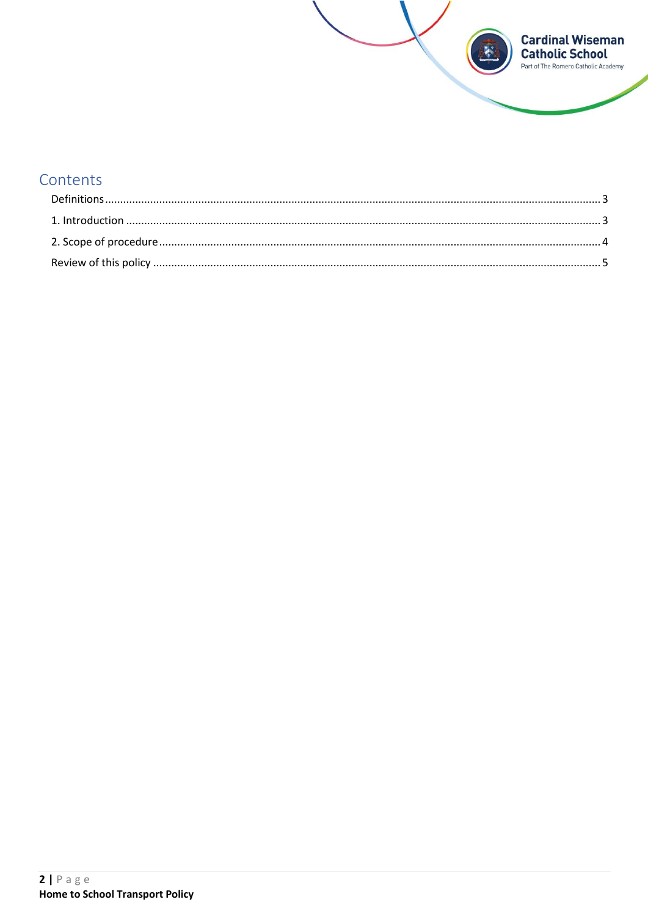

# Contents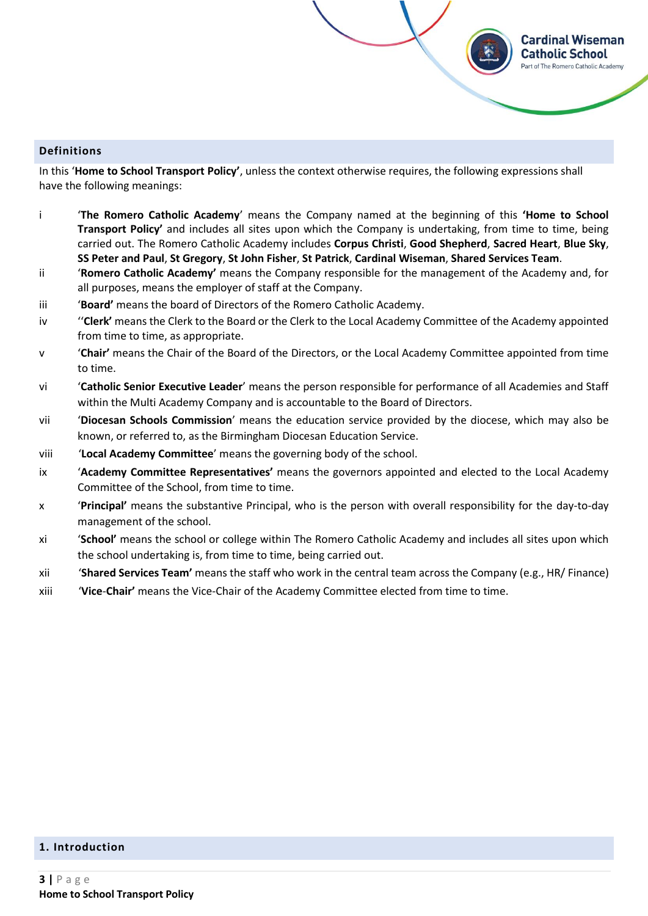#### <span id="page-2-0"></span>**Definitions**

In this '**Home to School Transport Policy'**, unless the context otherwise requires, the following expressions shall have the following meanings:

i '**The Romero Catholic Academy**' means the Company named at the beginning of this **'Home to School Transport Policy'** and includes all sites upon which the Company is undertaking, from time to time, being carried out. The Romero Catholic Academy includes **Corpus Christi**, **Good Shepherd**, **Sacred Heart**, **Blue Sky**, **SS Peter and Paul**, **St Gregory**, **St John Fisher**, **St Patrick**, **Cardinal Wiseman**, **Shared Services Team**.

**Cardinal Wiseman Catholic School** irt of The Romero Catholic Academy

- ii '**Romero Catholic Academy'** means the Company responsible for the management of the Academy and, for all purposes, means the employer of staff at the Company.
- iii '**Board'** means the board of Directors of the Romero Catholic Academy.
- iv ''**Clerk'** means the Clerk to the Board or the Clerk to the Local Academy Committee of the Academy appointed from time to time, as appropriate.
- v '**Chair'** means the Chair of the Board of the Directors, or the Local Academy Committee appointed from time to time.
- vi '**Catholic Senior Executive Leader**' means the person responsible for performance of all Academies and Staff within the Multi Academy Company and is accountable to the Board of Directors.
- vii '**Diocesan Schools Commission**' means the education service provided by the diocese, which may also be known, or referred to, as the Birmingham Diocesan Education Service.
- viii '**Local Academy Committee**' means the governing body of the school.
- ix '**Academy Committee Representatives'** means the governors appointed and elected to the Local Academy Committee of the School, from time to time.
- x '**Principal'** means the substantive Principal, who is the person with overall responsibility for the day-to-day management of the school.
- xi '**School'** means the school or college within The Romero Catholic Academy and includes all sites upon which the school undertaking is, from time to time, being carried out.
- xii '**Shared Services Team'** means the staff who work in the central team across the Company (e.g., HR/ Finance)
- xiii '**Vice**-**Chair'** means the Vice-Chair of the Academy Committee elected from time to time.

#### <span id="page-2-1"></span>**1. Introduction**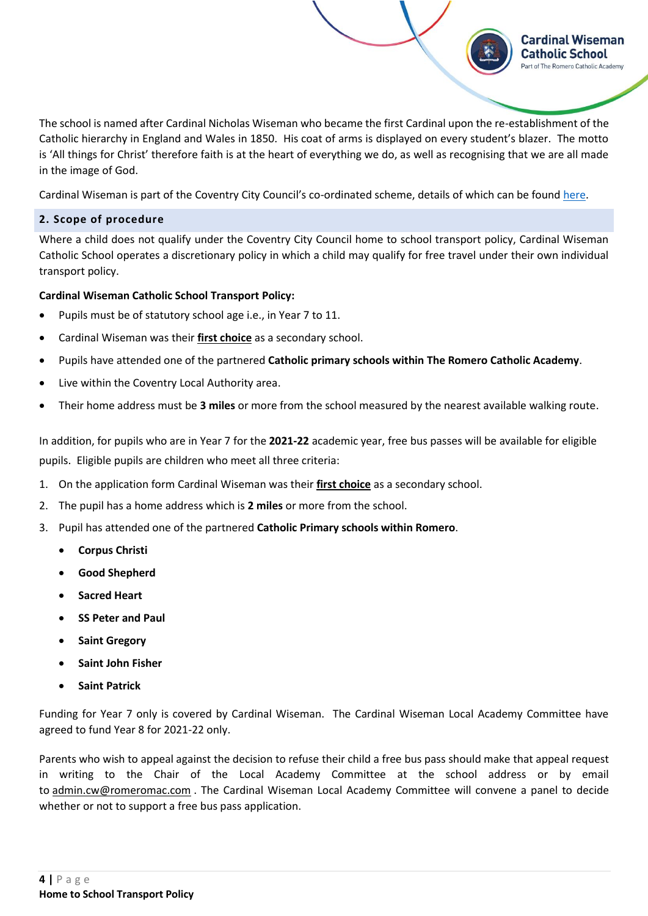The school is named after Cardinal Nicholas Wiseman who became the first Cardinal upon the re-establishment of the Catholic hierarchy in England and Wales in 1850. His coat of arms is displayed on every student's blazer. The motto is 'All things for Christ' therefore faith is at the heart of everything we do, as well as recognising that we are all made in the image of God.

**Cardinal Wiseman Catholic School** Part of The Romero Catholic Academy

Cardinal Wiseman is part of the Coventry City Council's co-ordinated scheme, details of which can be foun[d here.](https://www.coventry.gov.uk/info/61/schools_and_schooling/756/school_travel_passes/2)

# <span id="page-3-0"></span>**2. Scope of procedure**

Where a child does not qualify under the Coventry City Council home to school transport policy, Cardinal Wiseman Catholic School operates a discretionary policy in which a child may qualify for free travel under their own individual transport policy.

# **Cardinal Wiseman Catholic School Transport Policy:**

- Pupils must be of statutory school age i.e., in Year 7 to 11.
- Cardinal Wiseman was their **first choice** as a secondary school.
- Pupils have attended one of the partnered **Catholic primary schools within The Romero Catholic Academy**.
- Live within the Coventry Local Authority area.
- Their home address must be **3 miles** or more from the school measured by the nearest available walking route.

In addition, for pupils who are in Year 7 for the **2021-22** academic year, free bus passes will be available for eligible pupils. Eligible pupils are children who meet all three criteria:

- 1. On the application form Cardinal Wiseman was their **first choice** as a secondary school.
- 2. The pupil has a home address which is **2 miles** or more from the school.
- 3. Pupil has attended one of the partnered **Catholic Primary schools within Romero**.
	- **Corpus Christi**
	- **Good Shepherd**
	- **Sacred Heart**
	- **SS Peter and Paul**
	- **Saint Gregory**
	- **Saint John Fisher**
	- **Saint Patrick**

Funding for Year 7 only is covered by Cardinal Wiseman. The Cardinal Wiseman Local Academy Committee have agreed to fund Year 8 for 2021-22 only.

Parents who wish to appeal against the decision to refuse their child a free bus pass should make that appeal request in writing to the Chair of the Local Academy Committee at the school address or by email to [admin.cw@romeromac.com](mailto:admin.cw@romeromac.com) . The Cardinal Wiseman Local Academy Committee will convene a panel to decide whether or not to support a free bus pass application.